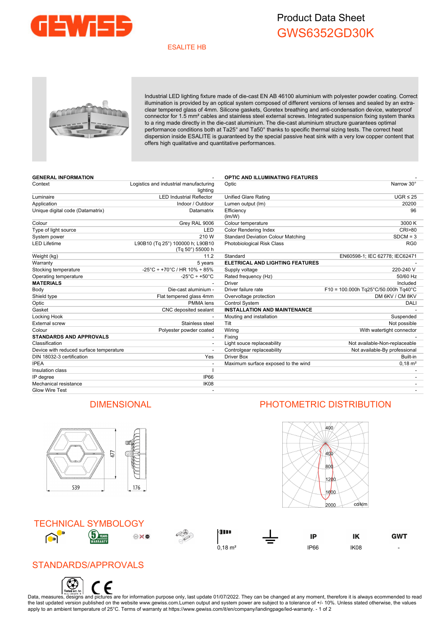

## Product Data Sheet GWS6352GD30K

#### ESALITE HB



Industrial LED lighting fixture made of die-cast EN AB 46100 aluminium with polyester powder coating. Correct illumination is provided by an optical system composed of different versions of lenses and sealed by an extraclear tempered glass of 4mm. Silicone gaskets, Goretex breathing and anti-condensation device, waterproof connector for 1.5 mm² cables and stainless steel external screws. Integrated suspension fixing system thanks to a ring made directly in the die-cast aluminium. The die-cast aluminium structure guarantees optimal performance conditions both at Ta25° and Ta50° thanks to specific thermal sizing tests. The correct heat dispersion inside ESALITE is guaranteed by the special passive heat sink with a very low copper content that offers high qualitative and quantitative performances.

| <b>GENERAL INFORMATION</b>              |                                                      | <b>OPTIC AND ILLUMINATING FEATURES</b>    |                                        |
|-----------------------------------------|------------------------------------------------------|-------------------------------------------|----------------------------------------|
| Context                                 | Logistics and industrial manufacturing<br>lighting   | Optic                                     | Narrow 30°                             |
| Luminaire                               | <b>LED Industrial Reflector</b>                      | <b>Unified Glare Rating</b>               | $UGR \leq 25$                          |
| Application                             | Indoor / Outdoor                                     | Lumen output (Im)                         | 20200                                  |
| Unique digital code (Datamatrix)        | Datamatrix                                           | Efficiency<br>(Im/W)                      | 96                                     |
| Colour                                  | Grey RAL 9006                                        | Colour temperature                        | 3000 K                                 |
| Type of light source                    | LED                                                  | <b>Color Rendering Index</b>              | CRI>80                                 |
| System power                            | 210 W                                                | <b>Standard Deviation Colour Matching</b> | $SDCM = 3$                             |
| <b>LED Lifetime</b>                     | L90B10 (Tq 25°) 100000 h; L90B10<br>(Tg 50°) 55000 h | Photobiological Risk Class                | RG <sub>0</sub>                        |
| Weight (kg)                             | 11.2                                                 | Standard                                  | EN60598-1; IEC 62778; IEC62471         |
| Warranty                                | 5 years                                              | ELETRICAL AND LIGHTING FEATURES           |                                        |
| Stocking temperature                    | $-25^{\circ}$ C + +70 $^{\circ}$ C / HR 10% + 85%    | Supply voltage                            | 220-240 V                              |
| Operating temperature                   | $-25^{\circ}$ C ÷ +50 $^{\circ}$ C                   | Rated frequency (Hz)                      | 50/60 Hz                               |
| <b>MATERIALS</b>                        |                                                      | <b>Driver</b>                             | Included                               |
| Body                                    | Die-cast aluminium -                                 | Driver failure rate                       | $F10 = 100.000h$ Tg25°C/50.000h Tg40°C |
| Shield type                             | Flat tempered glass 4mm                              | Overvoltage protection                    | DM 6KV / CM 8KV                        |
| Optic                                   | PMMA lens                                            | Control System                            | <b>DALI</b>                            |
| Gasket                                  | CNC deposited sealant                                | <b>INSTALLATION AND MAINTENANCE</b>       |                                        |
| Locking Hook                            |                                                      | Mouting and installation                  | Suspended                              |
| External screw                          | Stainless steel                                      | Tilt                                      | Not possible                           |
| Colour                                  | Polyester powder coated                              | Wiring                                    | With watertight connector              |
| <b>STANDARDS AND APPROVALS</b>          |                                                      | Fixing                                    |                                        |
| Classification                          |                                                      | Light souce replaceability                | Not available-Non-replaceable          |
| Device with reduced surface temperature |                                                      | Controlgear replaceability                | Not available-By professional          |
| DIN 18032-3 certification               | Yes                                                  | <b>Driver Box</b>                         | Built-in                               |
| <b>IPEA</b>                             |                                                      | Maximum surface exposed to the wind       | $0.18 \text{ m}^2$                     |
| Insulation class                        |                                                      |                                           |                                        |
| IP degree                               | IP66                                                 |                                           |                                        |
| Mechanical resistance                   | IK <sub>08</sub>                                     |                                           |                                        |
| Glow Wire Test                          |                                                      |                                           |                                        |
|                                         |                                                      |                                           |                                        |



### TECHNICAL SYMBOLOGY











## STANDARDS/APPROVALS



Data, measures, designs and pictures are for information purpose only, last update 01/07/2022. They can be changed at any moment, therefore it is always ecommended to read the last updated version published on the website www.gewiss.com.Lumen output and system power are subject to a tolerance of +/-10%. Unless stated otherwise, the values apply to an ambient temperature of 25°C. Terms of warranty at https://www.gewiss.com/it/en/company/landingpage/led-warranty. - 1 of 2

#### DIMENSIONAL PHOTOMETRIC DISTRIBUTION

400

 $400$ 800  $1200$ 

 $1600$ 2000

cd/klm